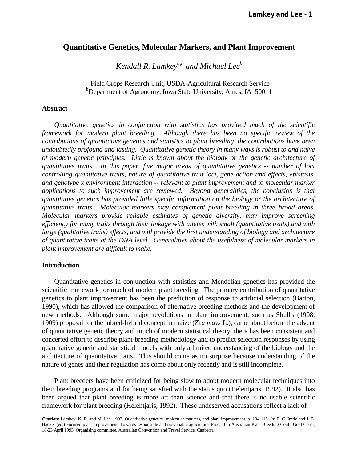# **Quantitative Genetics, Molecular Markers, and Plant Improvement**

 *Kendall R. Lamkeya,b and Michael Leeb*

<sup>a</sup>Field Crops Research Unit, USDA-Agricultural Research Service <sup>b</sup>Department of Agronomy, Iowa State University, Ames, IA 50011

#### **Abstract**

 *Quantitative genetics in conjunction with statistics has provided much of the scientific framework for modern plant breeding. Although there has been no specific review of the contributions of quantitative genetics and statistics to plant breeding, the contributions have been undoubtedly profound and lasting. Quantitative genetic theory in many ways is robust to and naive of modern genetic principles. Little is known about the biology or the genetic architecture of quantitative traits. In this paper, five major areas of quantitative genetics -- number of loci controlling quantitative traits, nature of quantitative trait loci, gene action and effects, epistasis, and genotype x environment interaction -- relevant to plant improvement and to molecular marker applications to such improvement are reviewed. Beyond generalities, the conclusion is that quantitative genetics has provided little specific information on the biology or the architecture of quantitative traits. Molecular markers may complement plant breeding in three broad areas. Molecular markers provide reliable estimates of genetic diversity, may improve screening efficiency for many traits through their linkage with alleles with small (quantitative traits) and with large (qualitative traits) effects, and will provide the first understanding of biology and architecture of quantitative traits at the DNA level. Generalities about the usefulness of molecular markers in plant improvement are difficult to make.* 

## **Introduction**

 Quantitative genetics in conjunction with statistics and Mendelian genetics has provided the scientific framework for much of modern plant breeding. The primary contribution of quantitative genetics to plant improvement has been the prediction of response to artificial selection (Barton, 1990), which has allowed the comparison of alternative breeding methods and the development of new methods. Although some major revolutions in plant improvement, such as Shull's (1908, 1909) proposal for the inbred-hybrid concept in maize (*Zea mays* L.), came about before the advent of quantitative genetic theory and much of modern statistical theory, there has been consistent and concerted effort to describe plant-breeding methodology and to predict selection responses by using quantitative genetic and statistical models with only a limited understanding of the biology and the architecture of quantitative traits. This should come as no surprise because understanding of the nature of genes and their regulation has come about only recently and is still incomplete.

 Plant breeders have been criticized for being slow to adopt modern molecular techniques into their breeding programs and for being satisfied with the status quo (Helentjaris, 1992). It also has been argued that plant breeding is more art than science and that there is no usable scientific framework for plant breeding (Helentjaris, 1992). These undeserved accusations reflect a lack of

**Citation:** Lamkey, K. R. and M. Lee. 1993. Quantitative genetics, molecular markers, and plant improvement. p. 104-115. *In*: B. C. Imrie and J. B. Hacker (ed.) Focused plant improvement: Towards responsible and sustainable agriculture. Proc. 10th Australian Plant Breeding Conf., Gold Coast, 18-23 April 1993. Organising committee, Australian Convention and Travel Service: Canberra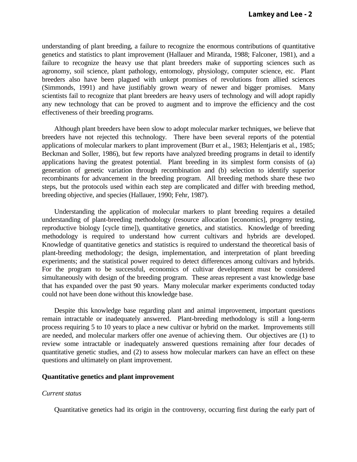understanding of plant breeding, a failure to recognize the enormous contributions of quantitative genetics and statistics to plant improvement (Hallauer and Miranda, 1988; Falconer, 1981), and a failure to recognize the heavy use that plant breeders make of supporting sciences such as agronomy, soil science, plant pathology, entomology, physiology, computer science, etc. Plant breeders also have been plagued with unkept promises of revolutions from allied sciences (Simmonds, 1991) and have justifiably grown weary of newer and bigger promises. Many scientists fail to recognize that plant breeders are heavy users of technology and will adopt rapidly any new technology that can be proved to augment and to improve the efficiency and the cost effectiveness of their breeding programs.

 Although plant breeders have been slow to adopt molecular marker techniques, we believe that breeders have not rejected this technology. There have been several reports of the potential applications of molecular markers to plant improvement (Burr et al., 1983; Helentjaris et al., 1985; Beckman and Soller, 1986), but few reports have analyzed breeding programs in detail to identify applications having the greatest potential. Plant breeding in its simplest form consists of (a) generation of genetic variation through recombination and (b) selection to identify superior recombinants for advancement in the breeding program. All breeding methods share these two steps, but the protocols used within each step are complicated and differ with breeding method, breeding objective, and species (Hallauer, 1990; Fehr, 1987).

 Understanding the application of molecular markers to plant breeding requires a detailed understanding of plant-breeding methodology (resource allocation [economics], progeny testing, reproductive biology [cycle time]), quantitative genetics, and statistics. Knowledge of breeding methodology is required to understand how current cultivars and hybrids are developed. Knowledge of quantitative genetics and statistics is required to understand the theoretical basis of plant-breeding methodology; the design, implementation, and interpretation of plant breeding experiments; and the statistical power required to detect differences among cultivars and hybrids. For the program to be successful, economics of cultivar development must be considered simultaneously with design of the breeding program. These areas represent a vast knowledge base that has expanded over the past 90 years. Many molecular marker experiments conducted today could not have been done without this knowledge base.

 Despite this knowledge base regarding plant and animal improvement, important questions remain intractable or inadequately answered. Plant-breeding methodology is still a long-term process requiring 5 to 10 years to place a new cultivar or hybrid on the market. Improvements still are needed, and molecular markers offer one avenue of achieving them. Our objectives are (1) to review some intractable or inadequately answered questions remaining after four decades of quantitative genetic studies, and (2) to assess how molecular markers can have an effect on these questions and ultimately on plant improvement.

#### **Quantitative genetics and plant improvement**

#### *Current status*

Quantitative genetics had its origin in the controversy, occurring first during the early part of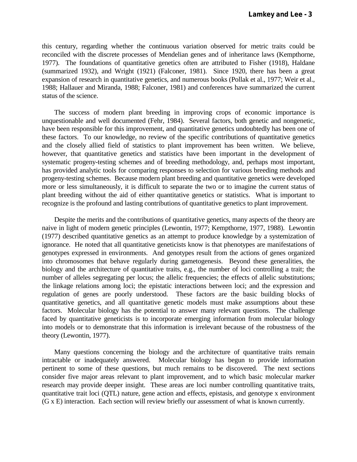this century, regarding whether the continuous variation observed for metric traits could be reconciled with the discrete processes of Mendelian genes and of inheritance laws (Kempthorne, 1977). The foundations of quantitative genetics often are attributed to Fisher (1918), Haldane (summarized 1932), and Wright (1921) (Falconer, 1981). Since 1920, there has been a great expansion of research in quantitative genetics, and numerous books (Pollak et al., 1977; Weir et al., 1988; Hallauer and Miranda, 1988; Falconer, 1981) and conferences have summarized the current status of the science.

 The success of modern plant breeding in improving crops of economic importance is unquestionable and well documented (Fehr, 1984). Several factors, both genetic and nongenetic, have been responsible for this improvement, and quantitative genetics undoubtedly has been one of these factors. To our knowledge, no review of the specific contributions of quantitative genetics and the closely allied field of statistics to plant improvement has been written. We believe, however, that quantitative genetics and statistics have been important in the development of systematic progeny-testing schemes and of breeding methodology, and, perhaps most important, has provided analytic tools for comparing responses to selection for various breeding methods and progeny-testing schemes. Because modern plant breeding and quantitative genetics were developed more or less simultaneously, it is difficult to separate the two or to imagine the current status of plant breeding without the aid of either quantitative genetics or statistics. What is important to recognize is the profound and lasting contributions of quantitative genetics to plant improvement.

 Despite the merits and the contributions of quantitative genetics, many aspects of the theory are naive in light of modern genetic principles (Lewontin, 1977; Kempthorne, 1977, 1988). Lewontin (1977) described quantitative genetics as an attempt to produce knowledge by a systemization of ignorance. He noted that all quantitative geneticists know is that phenotypes are manifestations of genotypes expressed in environments. And genotypes result from the actions of genes organized into chromosomes that behave regularly during gametogenesis. Beyond these generalities, the biology and the architecture of quantitative traits, e.g., the number of loci controlling a trait; the number of alleles segregating per locus; the allelic frequencies; the effects of allelic substitutions; the linkage relations among loci; the epistatic interactions between loci; and the expression and regulation of genes are poorly understood. These factors are the basic building blocks of quantitative genetics, and all quantitative genetic models must make assumptions about these factors. Molecular biology has the potential to answer many relevant questions. The challenge faced by quantitative geneticists is to incorporate emerging information from molecular biology into models or to demonstrate that this information is irrelevant because of the robustness of the theory (Lewontin, 1977).

 Many questions concerning the biology and the architecture of quantitative traits remain intractable or inadequately answered. Molecular biology has begun to provide information pertinent to some of these questions, but much remains to be discovered. The next sections consider five major areas relevant to plant improvement, and to which basic molecular marker research may provide deeper insight. These areas are loci number controlling quantitative traits, quantitative trait loci (QTL) nature, gene action and effects, epistasis, and genotype x environment (G x E) interaction. Each section will review briefly our assessment of what is known currently.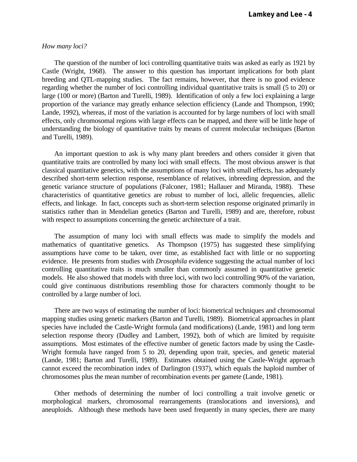## *How many loci?*

 The question of the number of loci controlling quantitative traits was asked as early as 1921 by Castle (Wright, 1968). The answer to this question has important implications for both plant breeding and QTL-mapping studies. The fact remains, however, that there is no good evidence regarding whether the number of loci controlling individual quantitative traits is small (5 to 20) or large (100 or more) (Barton and Turelli, 1989). Identification of only a few loci explaining a large proportion of the variance may greatly enhance selection efficiency (Lande and Thompson, 1990; Lande, 1992), whereas, if most of the variation is accounted for by large numbers of loci with small effects, only chromosomal regions with large effects can be mapped, and there will be little hope of understanding the biology of quantitative traits by means of current molecular techniques (Barton and Turelli, 1989).

 An important question to ask is why many plant breeders and others consider it given that quantitative traits are controlled by many loci with small effects. The most obvious answer is that classical quantitative genetics, with the assumptions of many loci with small effects, has adequately described short-term selection response, resemblance of relatives, inbreeding depression, and the genetic variance structure of populations (Falconer, 1981; Hallauer and Miranda, 1988). These characteristics of quantitative genetics are robust to number of loci, allelic frequencies, allelic effects, and linkage. In fact, concepts such as short-term selection response originated primarily in statistics rather than in Mendelian genetics (Barton and Turelli, 1989) and are, therefore, robust with respect to assumptions concerning the genetic architecture of a trait.

 The assumption of many loci with small effects was made to simplify the models and mathematics of quantitative genetics. As Thompson (1975) has suggested these simplifying assumptions have come to be taken, over time, as established fact with little or no supporting evidence. He presents from studies with *Drosophila* evidence suggesting the actual number of loci controlling quantitative traits is much smaller than commonly assumed in quantitative genetic models. He also showed that models with three loci, with two loci controlling 90% of the variation, could give continuous distributions resembling those for characters commonly thought to be controlled by a large number of loci.

 There are two ways of estimating the number of loci: biometrical techniques and chromosomal mapping studies using genetic markers (Barton and Turelli, 1989). Biometrical approaches in plant species have included the Castle-Wright formula (and modifications) (Lande, 1981) and long term selection response theory (Dudley and Lambert, 1992), both of which are limited by requisite assumptions. Most estimates of the effective number of genetic factors made by using the Castle-Wright formula have ranged from 5 to 20, depending upon trait, species, and genetic material (Lande, 1981; Barton and Turelli, 1989). Estimates obtained using the Castle-Wright approach cannot exceed the recombination index of Darlington (1937), which equals the haploid number of chromosomes plus the mean number of recombination events per gamete (Lande, 1981).

 Other methods of determining the number of loci controlling a trait involve genetic or morphological markers, chromosomal rearrangements (translocations and inversions), and aneuploids. Although these methods have been used frequently in many species, there are many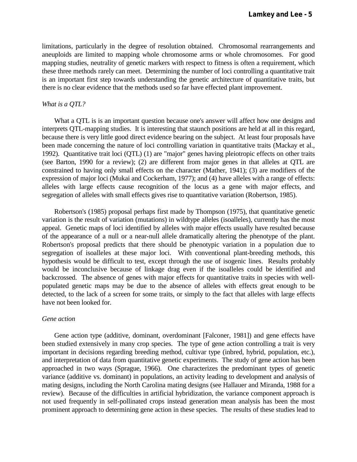limitations, particularly in the degree of resolution obtained. Chromosomal rearrangements and aneuploids are limited to mapping whole chromosome arms or whole chromosomes. For good mapping studies, neutrality of genetic markers with respect to fitness is often a requirement, which these three methods rarely can meet. Determining the number of loci controlling a quantitative trait is an important first step towards understanding the genetic architecture of quantitative traits, but there is no clear evidence that the methods used so far have effected plant improvement.

## *What is a QTL?*

What a QTL is is an important question because one's answer will affect how one designs and interprets QTL-mapping studies. It is interesting that staunch positions are held at all in this regard, because there is very little good direct evidence bearing on the subject. At least four proposals have been made concerning the nature of loci controlling variation in quantitative traits (Mackay et al., 1992). Quantitative trait loci (QTL) (1) are "major" genes having pleiotropic effects on other traits (see Barton, 1990 for a review); (2) are different from major genes in that alleles at QTL are constrained to having only small effects on the character (Mather, 1941); (3) are modifiers of the expression of major loci (Mukai and Cockerham, 1977); and (4) have alleles with a range of effects: alleles with large effects cause recognition of the locus as a gene with major effects, and segregation of alleles with small effects gives rise to quantitative variation (Robertson, 1985).

 Robertson's (1985) proposal perhaps first made by Thompson (1975), that quantitative genetic variation is the result of variation (mutations) in wildtype alleles (isoalleles), currently has the most appeal. Genetic maps of loci identified by alleles with major effects usually have resulted because of the appearance of a null or a near-null allele dramatically altering the phenotype of the plant. Robertson's proposal predicts that there should be phenotypic variation in a population due to segregation of isoalleles at these major loci. With conventional plant-breeding methods, this hypothesis would be difficult to test, except through the use of isogenic lines. Results probably would be inconclusive because of linkage drag even if the isoalleles could be identified and backcrossed. The absence of genes with major effects for quantitative traits in species with wellpopulated genetic maps may be due to the absence of alleles with effects great enough to be detected, to the lack of a screen for some traits, or simply to the fact that alleles with large effects have not been looked for.

#### *Gene action*

 Gene action type (additive, dominant, overdominant [Falconer, 1981]) and gene effects have been studied extensively in many crop species. The type of gene action controlling a trait is very important in decisions regarding breeding method, cultivar type (inbred, hybrid, population, etc.), and interpretation of data from quantitative genetic experiments. The study of gene action has been approached in two ways (Sprague, 1966). One characterizes the predominant types of genetic variance (additive vs. dominant) in populations, an activity leading to development and analysis of mating designs, including the North Carolina mating designs (see Hallauer and Miranda, 1988 for a review). Because of the difficulties in artificial hybridization, the variance component approach is not used frequently in self-pollinated crops instead generation mean analysis has been the most prominent approach to determining gene action in these species. The results of these studies lead to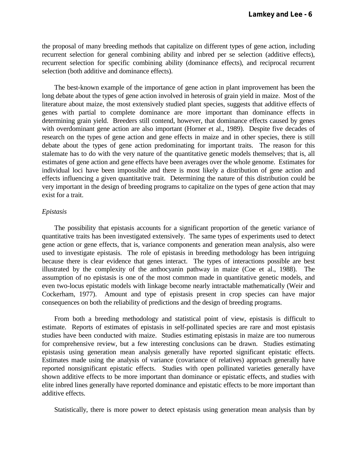the proposal of many breeding methods that capitalize on different types of gene action, including recurrent selection for general combining ability and inbred per se selection (additive effects), recurrent selection for specific combining ability (dominance effects), and reciprocal recurrent selection (both additive and dominance effects).

 The best-known example of the importance of gene action in plant improvement has been the long debate about the types of gene action involved in heterosis of grain yield in maize. Most of the literature about maize, the most extensively studied plant species, suggests that additive effects of genes with partial to complete dominance are more important than dominance effects in determining grain yield. Breeders still contend, however, that dominance effects caused by genes with overdominant gene action are also important (Horner et al., 1989). Despite five decades of research on the types of gene action and gene effects in maize and in other species, there is still debate about the types of gene action predominating for important traits. The reason for this stalemate has to do with the very nature of the quantitative genetic models themselves; that is, all estimates of gene action and gene effects have been averages over the whole genome. Estimates for individual loci have been impossible and there is most likely a distribution of gene action and effects influencing a given quantitative trait. Determining the nature of this distribution could be very important in the design of breeding programs to capitalize on the types of gene action that may exist for a trait.

# *Epistasis*

 The possibility that epistasis accounts for a significant proportion of the genetic variance of quantitative traits has been investigated extensively. The same types of experiments used to detect gene action or gene effects, that is, variance components and generation mean analysis, also were used to investigate epistasis. The role of epistasis in breeding methodology has been intriguing because there is clear evidence that genes interact. The types of interactions possible are best illustrated by the complexity of the anthocyanin pathway in maize (Coe et al., 1988). The assumption of no epistasis is one of the most common made in quantitative genetic models, and even two-locus epistatic models with linkage become nearly intractable mathematically (Weir and Cockerham, 1977). Amount and type of epistasis present in crop species can have major consequences on both the reliability of predictions and the design of breeding programs.

 From both a breeding methodology and statistical point of view, epistasis is difficult to estimate. Reports of estimates of epistasis in self-pollinated species are rare and most epistasis studies have been conducted with maize. Studies estimating epistasis in maize are too numerous for comprehensive review, but a few interesting conclusions can be drawn. Studies estimating epistasis using generation mean analysis generally have reported significant epistatic effects. Estimates made using the analysis of variance (covariance of relatives) approach generally have reported nonsignificant epistatic effects. Studies with open pollinated varieties generally have shown additive effects to be more important than dominance or epistatic effects, and studies with elite inbred lines generally have reported dominance and epistatic effects to be more important than additive effects.

Statistically, there is more power to detect epistasis using generation mean analysis than by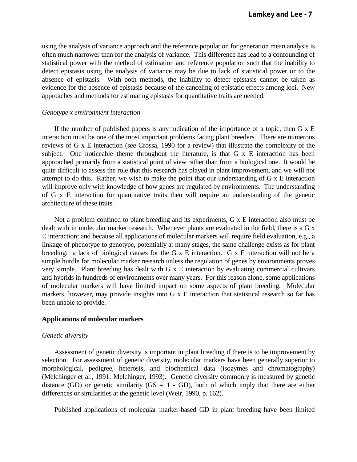using the analysis of variance approach and the reference population for generation mean analysis is often much narrower than for the analysis of variance. This difference has lead to a confounding of statistical power with the method of estimation and reference population such that the inability to detect epistasis using the analysis of variance may be due to lack of statistical power or to the absence of epistasis. With both methods, the inability to detect epistasis cannot be taken as evidence for the absence of epistasis because of the canceling of epistatic effects among loci. New approaches and methods for estimating epistasis for quantitative traits are needed.

## *Genotype x environment interaction*

If the number of published papers is any indication of the importance of a topic, then  $G \times E$ interaction must be one of the most important problems facing plant breeders. There are numerous reviews of G x E interaction (see Crossa, 1990 for a review) that illustrate the complexity of the subject. One noticeable theme throughout the literature, is that G x E interaction has been approached primarily from a statistical point of view rather than from a biological one. It would be quite difficult to assess the role that this research has played in plant improvement, and we will not attempt to do this. Rather, we wish to make the point that our understanding of G x E interaction will improve only with knowledge of how genes are regulated by environments. The understanding of G x E interaction for quantitative traits then will require an understanding of the genetic architecture of these traits.

 Not a problem confined to plant breeding and its experiments, G x E interaction also must be dealt with in molecular marker research. Whenever plants are evaluated in the field, there is a G x E interaction; and because all applications of molecular markers will require field evaluation, e.g., a linkage of phenotype to genotype, potentially at many stages, the same challenge exists as for plant breeding: a lack of biological causes for the G x E interaction. G x E interaction will not be a simple hurdle for molecular marker research unless the regulation of genes by environments proves very simple. Plant breeding has dealt with G x E interaction by evaluating commercial cultivars and hybrids in hundreds of environments over many years. For this reason alone, some applications of molecular markers will have limited impact on some aspects of plant breeding. Molecular markers, however, may provide insights into G x E interaction that statistical research so far has been unable to provide.

## **Applications of molecular markers**

#### *Genetic diversity*

 Assessment of genetic diversity is important in plant breeding if there is to be improvement by selection. For assessment of genetic diversity, molecular markers have been generally superior to morphological, pedigree, heterosis, and biochemical data (isozymes and chromatography) (Melchinger et al., 1991; Melchinger, 1993). Genetic diversity commonly is measured by genetic distance (GD) or genetic similarity (GS =  $1 -$  GD), both of which imply that there are either differences or similarities at the genetic level (Weir, 1990, p. 162).

Published applications of molecular marker-based GD in plant breeding have been limited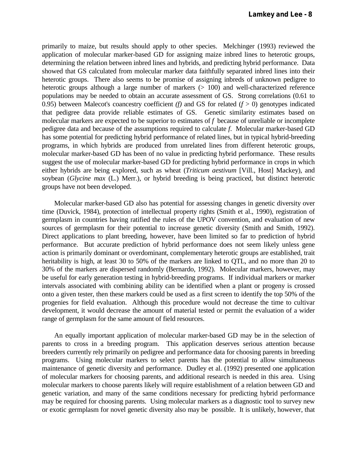primarily to maize, but results should apply to other species. Melchinger (1993) reviewed the application of molecular marker-based GD for assigning maize inbred lines to heterotic groups, determining the relation between inbred lines and hybrids, and predicting hybrid performance. Data showed that GS calculated from molecular marker data faithfully separated inbred lines into their heterotic groups. There also seems to be promise of assigning inbreds of unknown pedigree to heterotic groups although a large number of markers ( $> 100$ ) and well-characterized reference populations may be needed to obtain an accurate assessment of GS. Strong correlations (0.61 to 0.95) between Malecot's coancestry coefficient  $(f)$  and GS for related  $(f > 0)$  genotypes indicated that pedigree data provide reliable estimates of GS. Genetic similarity estimates based on molecular markers are expected to be superior to estimates of *f* because of unreliable or incomplete pedigree data and because of the assumptions required to calculate *f*. Molecular marker-based GD has some potential for predicting hybrid performance of related lines, but in typical hybrid-breeding programs, in which hybrids are produced from unrelated lines from different heterotic groups, molecular marker-based GD has been of no value in predicting hybrid performance. These results suggest the use of molecular marker-based GD for predicting hybrid performance in crops in which either hybrids are being explored, such as wheat (*Triticum aestivum* [Vill., Host] Mackey), and soybean (*Glycine max* (L.) Merr.), or hybrid breeding is being practiced, but distinct heterotic groups have not been developed.

 Molecular marker-based GD also has potential for assessing changes in genetic diversity over time (Duvick, 1984), protection of intellectual property rights (Smith et al., 1990), registration of germplasm in countries having ratified the rules of the UPOV convention, and evaluation of new sources of germplasm for their potential to increase genetic diversity (Smith and Smith, 1992). Direct applications to plant breeding, however, have been limited so far to prediction of hybrid performance. But accurate prediction of hybrid performance does not seem likely unless gene action is primarily dominant or overdominant, complementary heterotic groups are established, trait heritability is high, at least 30 to 50% of the markers are linked to QTL, and no more than 20 to 30% of the markers are dispersed randomly (Bernardo, 1992). Molecular markers, however, may be useful for early generation testing in hybrid-breeding programs. If individual markers or marker intervals associated with combining ability can be identified when a plant or progeny is crossed onto a given tester, then these markers could be used as a first screen to identify the top 50% of the progenies for field evaluation. Although this procedure would not decrease the time to cultivar development, it would decrease the amount of material tested or permit the evaluation of a wider range of germplasm for the same amount of field resources.

 An equally important application of molecular marker-based GD may be in the selection of parents to cross in a breeding program. This application deserves serious attention because breeders currently rely primarily on pedigree and performance data for choosing parents in breeding programs. Using molecular markers to select parents has the potential to allow simultaneous maintenance of genetic diversity and performance. Dudley et al. (1992) presented one application of molecular markers for choosing parents, and additional research is needed in this area. Using molecular markers to choose parents likely will require establishment of a relation between GD and genetic variation, and many of the same conditions necessary for predicting hybrid performance may be required for choosing parents. Using molecular markers as a diagnostic tool to survey new or exotic germplasm for novel genetic diversity also may be possible. It is unlikely, however, that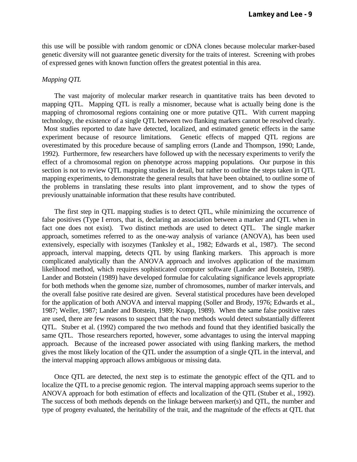this use will be possible with random genomic or cDNA clones because molecular marker-based genetic diversity will not guarantee genetic diversity for the traits of interest. Screening with probes of expressed genes with known function offers the greatest potential in this area.

#### *Mapping QTL*

 The vast majority of molecular marker research in quantitative traits has been devoted to mapping QTL. Mapping QTL is really a misnomer, because what is actually being done is the mapping of chromosomal regions containing one or more putative QTL. With current mapping technology, the existence of a single QTL between two flanking markers cannot be resolved clearly. Most studies reported to date have detected, localized, and estimated genetic effects in the same experiment because of resource limitations. Genetic effects of mapped QTL regions are overestimated by this procedure because of sampling errors (Lande and Thompson, 1990; Lande, 1992). Furthermore, few researchers have followed up with the necessary experiments to verify the effect of a chromosomal region on phenotype across mapping populations. Our purpose in this section is not to review QTL mapping studies in detail, but rather to outline the steps taken in QTL mapping experiments, to demonstrate the general results that have been obtained, to outline some of the problems in translating these results into plant improvement, and to show the types of previously unattainable information that these results have contributed.

 The first step in QTL mapping studies is to detect QTL, while minimizing the occurrence of false positives (Type I errors, that is, declaring an association between a marker and QTL when in fact one does not exist). Two distinct methods are used to detect QTL. The single marker approach, sometimes referred to as the one-way analysis of variance (ANOVA), has been used extensively, especially with isozymes (Tanksley et al., 1982; Edwards et al., 1987). The second approach, interval mapping, detects QTL by using flanking markers. This approach is more complicated analytically than the ANOVA approach and involves application of the maximum likelihood method, which requires sophisticated computer software (Lander and Botstein, 1989). Lander and Botstein (1989) have developed formulae for calculating significance levels appropriate for both methods when the genome size, number of chromosomes, number of marker intervals, and the overall false positive rate desired are given. Several statistical procedures have been developed for the application of both ANOVA and interval mapping (Soller and Brody, 1976; Edwards et al., 1987; Weller, 1987; Lander and Botstein, 1989; Knapp, 1989). When the same false positive rates are used, there are few reasons to suspect that the two methods would detect substantially different QTL. Stuber et al. (1992) compared the two methods and found that they identified basically the same QTL. Those researchers reported, however, some advantages to using the interval mapping approach. Because of the increased power associated with using flanking markers, the method gives the most likely location of the QTL under the assumption of a single QTL in the interval, and the interval mapping approach allows ambiguous or missing data.

 Once QTL are detected, the next step is to estimate the genotypic effect of the QTL and to localize the QTL to a precise genomic region. The interval mapping approach seems superior to the ANOVA approach for both estimation of effects and localization of the QTL (Stuber et al., 1992). The success of both methods depends on the linkage between marker(s) and QTL, the number and type of progeny evaluated, the heritability of the trait, and the magnitude of the effects at QTL that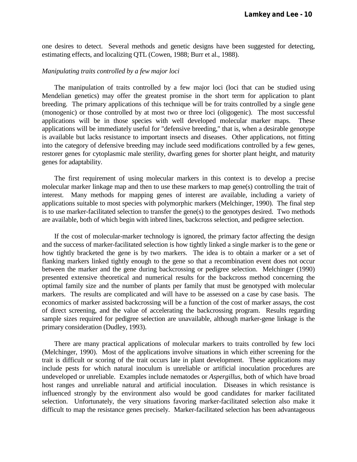one desires to detect. Several methods and genetic designs have been suggested for detecting, estimating effects, and localizing QTL (Cowen, 1988; Burr et al., 1988).

#### *Manipulating traits controlled by a few major loci*

 The manipulation of traits controlled by a few major loci (loci that can be studied using Mendelian genetics) may offer the greatest promise in the short term for application to plant breeding. The primary applications of this technique will be for traits controlled by a single gene (monogenic) or those controlled by at most two or three loci (oligogenic). The most successful applications will be in those species with well developed molecular marker maps. These applications will be immediately useful for "defensive breeding," that is, when a desirable genotype is available but lacks resistance to important insects and diseases. Other applications, not fitting into the category of defensive breeding may include seed modifications controlled by a few genes, restorer genes for cytoplasmic male sterility, dwarfing genes for shorter plant height, and maturity genes for adaptability.

 The first requirement of using molecular markers in this context is to develop a precise molecular marker linkage map and then to use these markers to map gene(s) controlling the trait of interest. Many methods for mapping genes of interest are available, including a variety of applications suitable to most species with polymorphic markers (Melchinger, 1990). The final step is to use marker-facilitated selection to transfer the gene(s) to the genotypes desired. Two methods are available, both of which begin with inbred lines, backcross selection, and pedigree selection.

 If the cost of molecular-marker technology is ignored, the primary factor affecting the design and the success of marker-facilitated selection is how tightly linked a single marker is to the gene or how tightly bracketed the gene is by two markers. The idea is to obtain a marker or a set of flanking markers linked tightly enough to the gene so that a recombination event does not occur between the marker and the gene during backcrossing or pedigree selection. Melchinger (1990) presented extensive theoretical and numerical results for the backcross method concerning the optimal family size and the number of plants per family that must be genotyped with molecular markers. The results are complicated and will have to be assessed on a case by case basis. The economics of marker assisted backcrossing will be a function of the cost of marker assays, the cost of direct screening, and the value of accelerating the backcrossing program. Results regarding sample sizes required for pedigree selection are unavailable, although marker-gene linkage is the primary consideration (Dudley, 1993).

 There are many practical applications of molecular markers to traits controlled by few loci (Melchinger, 1990). Most of the applications involve situations in which either screening for the trait is difficult or scoring of the trait occurs late in plant development. These applications may include pests for which natural inoculum is unreliable or artificial inoculation procedures are undeveloped or unreliable. Examples include nematodes or *Aspergillus*, both of which have broad host ranges and unreliable natural and artificial inoculation. Diseases in which resistance is influenced strongly by the environment also would be good candidates for marker facilitated selection. Unfortunately, the very situations favoring marker-facilitated selection also make it difficult to map the resistance genes precisely. Marker-facilitated selection has been advantageous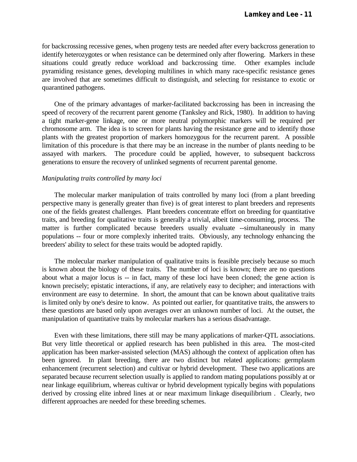for backcrossing recessive genes, when progeny tests are needed after every backcross generation to identify heterozygotes or when resistance can be determined only after flowering. Markers in these situations could greatly reduce workload and backcrossing time. Other examples include pyramiding resistance genes, developing multilines in which many race-specific resistance genes are involved that are sometimes difficult to distinguish, and selecting for resistance to exotic or quarantined pathogens.

 One of the primary advantages of marker-facilitated backcrossing has been in increasing the speed of recovery of the recurrent parent genome (Tanksley and Rick, 1980). In addition to having a tight marker-gene linkage, one or more neutral polymorphic markers will be required per chromosome arm. The idea is to screen for plants having the resistance gene and to identify those plants with the greatest proportion of markers homozygous for the recurrent parent. A possible limitation of this procedure is that there may be an increase in the number of plants needing to be assayed with markers. The procedure could be applied, however, to subsequent backcross generations to ensure the recovery of unlinked segments of recurrent parental genome.

#### *Manipulating traits controlled by many loci*

 The molecular marker manipulation of traits controlled by many loci (from a plant breeding perspective many is generally greater than five) is of great interest to plant breeders and represents one of the fields greatest challenges. Plant breeders concentrate effort on breeding for quantitative traits, and breeding for qualitative traits is generally a trivial, albeit time-consuming, process. The matter is further complicated because breeders usually evaluate --simultaneously in many populations -- four or more complexly inherited traits. Obviously, any technology enhancing the breeders' ability to select for these traits would be adopted rapidly.

 The molecular marker manipulation of qualitative traits is feasible precisely because so much is known about the biology of these traits. The number of loci is known; there are no questions about what a major locus is -- in fact, many of these loci have been cloned; the gene action is known precisely; epistatic interactions, if any, are relatively easy to decipher; and interactions with environment are easy to determine. In short, the amount that can be known about qualitative traits is limited only by one's desire to know. As pointed out earlier, for quantitative traits, the answers to these questions are based only upon averages over an unknown number of loci. At the outset, the manipulation of quantitative traits by molecular markers has a serious disadvantage.

 Even with these limitations, there still may be many applications of marker-QTL associations. But very little theoretical or applied research has been published in this area. The most-cited application has been marker-assisted selection (MAS) although the context of application often has been ignored. In plant breeding, there are two distinct but related applications: germplasm enhancement (recurrent selection) and cultivar or hybrid development. These two applications are separated because recurrent selection usually is applied to random mating populations possibly at or near linkage equilibrium, whereas cultivar or hybrid development typically begins with populations derived by crossing elite inbred lines at or near maximum linkage disequilibrium . Clearly, two different approaches are needed for these breeding schemes.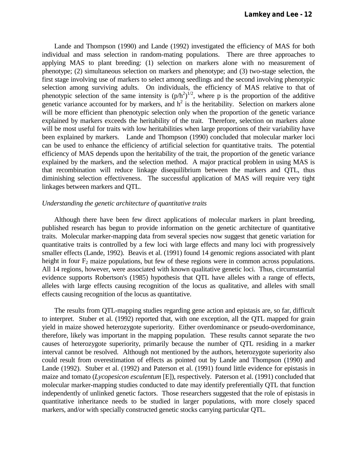Lande and Thompson (1990) and Lande (1992) investigated the efficiency of MAS for both individual and mass selection in random-mating populations. There are three approaches to applying MAS to plant breeding: (1) selection on markers alone with no measurement of phenotype; (2) simultaneous selection on markers and phenotype; and (3) two-stage selection, the first stage involving use of markers to select among seedlings and the second involving phenotypic selection among surviving adults. On individuals, the efficiency of MAS relative to that of phenotypic selection of the same intensity is  $(p/h^2)^{1/2}$ , where p is the proportion of the additive genetic variance accounted for by markers, and  $h^2$  is the heritability. Selection on markers alone will be more efficient than phenotypic selection only when the proportion of the genetic variance explained by markers exceeds the heritability of the trait. Therefore, selection on markers alone will be most useful for traits with low heritabilities when large proportions of their variability have been explained by markers. Lande and Thompson (1990) concluded that molecular marker loci can be used to enhance the efficiency of artificial selection for quantitative traits. The potential efficiency of MAS depends upon the heritability of the trait, the proportion of the genetic variance explained by the markers, and the selection method. A major practical problem in using MAS is that recombination will reduce linkage disequilibrium between the markers and QTL, thus diminishing selection effectiveness. The successful application of MAS will require very tight linkages between markers and QTL.

# *Understanding the genetic architecture of quantitative traits*

 Although there have been few direct applications of molecular markers in plant breeding, published research has begun to provide information on the genetic architecture of quantitative traits. Molecular marker-mapping data from several species now suggest that genetic variation for quantitative traits is controlled by a few loci with large effects and many loci with progressively smaller effects (Lande, 1992). Beavis et al. (1991) found 14 genomic regions associated with plant height in four  $F_2$  maize populations, but few of these regions were in common across populations. All 14 regions, however, were associated with known qualitative genetic loci. Thus, circumstantial evidence supports Robertson's (1985) hypothesis that QTL have alleles with a range of effects, alleles with large effects causing recognition of the locus as qualitative, and alleles with small effects causing recognition of the locus as quantitative.

 The results from QTL-mapping studies regarding gene action and epistasis are, so far, difficult to interpret. Stuber et al. (1992) reported that, with one exception, all the QTL mapped for grain yield in maize showed heterozygote superiority. Either overdominance or pseudo-overdominance, therefore, likely was important in the mapping population. These results cannot separate the two causes of heterozygote superiority, primarily because the number of QTL residing in a marker interval cannot be resolved. Although not mentioned by the authors, heterozygote superiority also could result from overestimation of effects as pointed out by Lande and Thompson (1990) and Lande (1992). Stuber et al. (1992) and Paterson et al. (1991) found little evidence for epistasis in maize and tomato (*Lycopesicon esculentum* [E]), respectively. Paterson et al. (1991) concluded that molecular marker-mapping studies conducted to date may identify preferentially QTL that function independently of unlinked genetic factors. Those researchers suggested that the role of epistasis in quantitative inheritance needs to be studied in larger populations, with more closely spaced markers, and/or with specially constructed genetic stocks carrying particular QTL.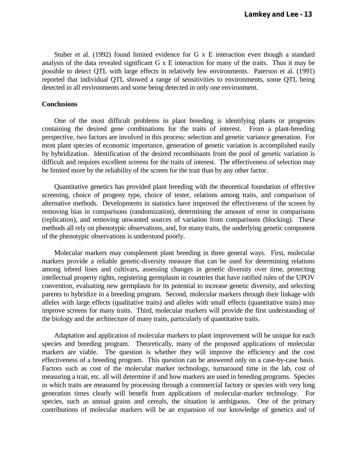Stuber et al. (1992) found limited evidence for G x E interaction even though a standard analysis of the data revealed significant G x E interaction for many of the traits. Thus it may be possible to detect QTL with large effects in relatively few environments. Paterson et al. (1991) reported that individual QTL showed a range of sensitivities to environments, some QTL being detected in all environments and some being detected in only one environment.

## **Conclusions**

 One of the most difficult problems in plant breeding is identifying plants or progenies containing the desired gene combinations for the traits of interest. From a plant-breeding perspective, two factors are involved in this process: selection and genetic variance generation. For most plant species of economic importance, generation of genetic variation is accomplished easily by hybridization. Identification of the desired recombinants from the pool of genetic variation is difficult and requires excellent screens for the traits of interest. The effectiveness of selection may be limited more by the reliability of the screen for the trait than by any other factor.

 Quantitative genetics has provided plant breeding with the theoretical foundation of effective screening, choice of progeny type, choice of tester, relations among traits, and comparison of alternative methods. Developments in statistics have improved the effectiveness of the screen by removing bias in comparisons (randomization), determining the amount of error in comparisons (replication), and removing unwanted sources of variation from comparisons (blocking). These methods all rely on phenotypic observations, and, for many traits, the underlying genetic component of the phenotypic observations is understood poorly.

 Molecular markers may complement plant breeding in three general ways. First, molecular markers provide a reliable genetic-diversity measure that can be used for determining relations among inbred lines and cultivars, assessing changes in genetic diversity over time, protecting intellectual property rights, registering germplasm in countries that have ratified rules of the UPOV convention, evaluating new germplasm for its potential to increase genetic diversity, and selecting parents to hybridize in a breeding program. Second, molecular markers through their linkage with alleles with large effects (qualitative traits) and alleles with small effects (quantitative traits) may improve screens for many traits. Third, molecular markers will provide the first understanding of the biology and the architecture of many traits, particularly of quantitative traits.

 Adaptation and application of molecular markers to plant improvement will be unique for each species and breeding program. Theoretically, many of the proposed applications of molecular markers are viable. The question is whether they will improve the efficiency and the cost effectiveness of a breeding program. This question can be answered only on a case-by-case basis. Factors such as cost of the molecular marker technology, turnaround time in the lab, cost of measuring a trait, etc. all will determine if and how markers are used in breeding programs. Species in which traits are measured by processing through a commercial factory or species with very long generation times clearly will benefit from applications of molecular-marker technology. For species, such as annual grains and cereals, the situation is ambiguous. One of the primary contributions of molecular markers will be an expansion of our knowledge of genetics and of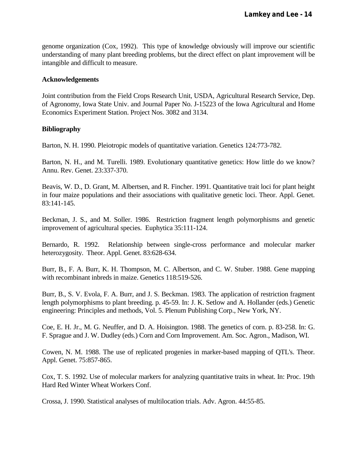genome organization (Cox, 1992). This type of knowledge obviously will improve our scientific understanding of many plant breeding problems, but the direct effect on plant improvement will be intangible and difficult to measure.

# **Acknowledgements**

Joint contribution from the Field Crops Research Unit, USDA, Agricultural Research Service, Dep. of Agronomy, Iowa State Univ. and Journal Paper No. J-15223 of the Iowa Agricultural and Home Economics Experiment Station. Project Nos. 3082 and 3134.

# **Bibliography**

Barton, N. H. 1990. Pleiotropic models of quantitative variation. Genetics 124:773-782.

Barton, N. H., and M. Turelli. 1989. Evolutionary quantitative genetics: How little do we know? Annu. Rev. Genet. 23:337-370.

Beavis, W. D., D. Grant, M. Albertsen, and R. Fincher. 1991. Quantitative trait loci for plant height in four maize populations and their associations with qualitative genetic loci. Theor. Appl. Genet. 83:141-145.

Beckman, J. S., and M. Soller. 1986. Restriction fragment length polymorphisms and genetic improvement of agricultural species. Euphytica 35:111-124.

Bernardo, R. 1992. Relationship between single-cross performance and molecular marker heterozygosity. Theor. Appl. Genet. 83:628-634.

Burr, B., F. A. Burr, K. H. Thompson, M. C. Albertson, and C. W. Stuber. 1988. Gene mapping with recombinant inbreds in maize. Genetics 118:519-526.

Burr, B., S. V. Evola, F. A. Burr, and J. S. Beckman. 1983. The application of restriction fragment length polymorphisms to plant breeding. p. 45-59. In: J. K. Setlow and A. Hollander (eds.) Genetic engineering: Principles and methods, Vol. 5. Plenum Publishing Corp., New York, NY.

Coe, E. H. Jr., M. G. Neuffer, and D. A. Hoisington. 1988. The genetics of corn. p. 83-258. In: G. F. Sprague and J. W. Dudley (eds.) Corn and Corn Improvement. Am. Soc. Agron., Madison, WI.

Cowen, N. M. 1988. The use of replicated progenies in marker-based mapping of QTL's. Theor. Appl. Genet. 75:857-865.

Cox, T. S. 1992. Use of molecular markers for analyzing quantitative traits in wheat. In: Proc. 19th Hard Red Winter Wheat Workers Conf.

Crossa, J. 1990. Statistical analyses of multilocation trials. Adv. Agron. 44:55-85.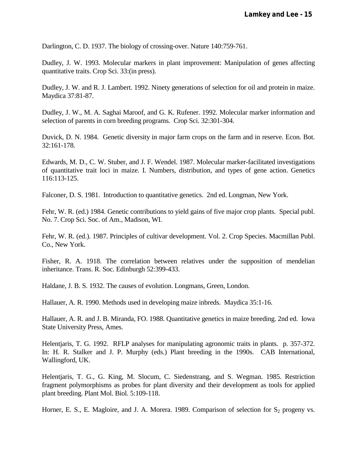Darlington, C. D. 1937. The biology of crossing-over. Nature 140:759-761.

Dudley, J. W. 1993. Molecular markers in plant improvement: Manipulation of genes affecting quantitative traits. Crop Sci. 33:(in press).

Dudley, J. W. and R. J. Lambert. 1992. Ninety generations of selection for oil and protein in maize. Maydica 37:81-87.

Dudley, J. W., M. A. Saghai Maroof, and G. K. Rufener. 1992. Molecular marker information and selection of parents in corn breeding programs. Crop Sci. 32:301-304.

Duvick, D. N. 1984. Genetic diversity in major farm crops on the farm and in reserve. Econ. Bot. 32:161-178.

Edwards, M. D., C. W. Stuber, and J. F. Wendel. 1987. Molecular marker-facilitated investigations of quantitative trait loci in maize. I. Numbers, distribution, and types of gene action. Genetics 116:113-125.

Falconer, D. S. 1981. Introduction to quantitative genetics. 2nd ed. Longman, New York.

Fehr, W. R. (ed.) 1984. Genetic contributions to yield gains of five major crop plants. Special publ. No. 7. Crop Sci. Soc. of Am., Madison, WI.

Fehr, W. R. (ed.). 1987. Principles of cultivar development. Vol. 2. Crop Species. Macmillan Publ. Co., New York.

Fisher, R. A. 1918. The correlation between relatives under the supposition of mendelian inheritance. Trans. R. Soc. Edinburgh 52:399-433.

Haldane, J. B. S. 1932. The causes of evolution. Longmans, Green, London.

Hallauer, A. R. 1990. Methods used in developing maize inbreds. Maydica 35:1-16.

Hallauer, A. R. and J. B. Miranda, FO. 1988. Quantitative genetics in maize breeding. 2nd ed. Iowa State University Press, Ames.

Helentjaris, T. G. 1992. RFLP analyses for manipulating agronomic traits in plants. p. 357-372. In: H. R. Stalker and J. P. Murphy (eds.) Plant breeding in the 1990s. CAB International, Wallingford, UK.

Helentjaris, T. G., G. King, M. Slocum, C. Siedenstrang, and S. Wegman. 1985. Restriction fragment polymorphisms as probes for plant diversity and their development as tools for applied plant breeding. Plant Mol. Biol. 5:109-118.

Horner, E. S., E. Magloire, and J. A. Morera. 1989. Comparison of selection for  $S_2$  progeny vs.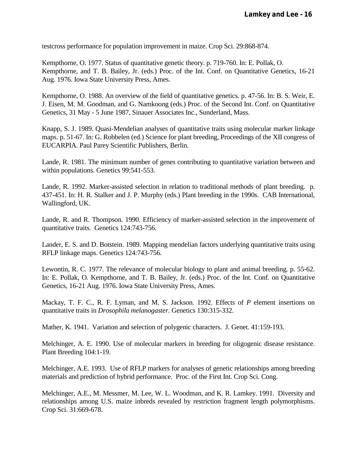testcross performance for population improvement in maize. Crop Sci. 29:868-874.

Kempthorne, O. 1977. Status of quantitative genetic theory. p. 719-760. In: E. Pollak, O. Kempthorne, and T. B. Bailey, Jr. (eds.) Proc. of the Int. Conf. on Quantitative Genetics, 16-21 Aug. 1976. Iowa State University Press, Ames.

Kempthorne, O. 1988. An overview of the field of quantitative genetics. p. 47-56. In: B. S. Weir, E. J. Eisen, M. M. Goodman, and G. Namkoong (eds.) Proc. of the Second Int. Conf. on Quantitative Genetics, 31 May - 5 June 1987, Sinauer Associates Inc., Sunderland, Mass.

Knapp, S. J. 1989. Quasi-Mendelian analyses of quantitative traits using molecular marker linkage maps. p. 51-67. In: G. Robbelen (ed.) Science for plant breeding, Proceedings of the XII congress of EUCARPIA. Paul Parey Scientific Publishers, Berlin.

Lande, R. 1981. The minimum number of genes contributing to quantitative variation between and within populations. Genetics 99:541-553.

Lande, R. 1992. Marker-assisted selection in relation to traditional methods of plant breeding. p. 437-451. In: H. R. Stalker and J. P. Murphy (eds.) Plant breeding in the 1990s. CAB International, Wallingford, UK.

Lande, R. and R. Thompson. 1990. Efficiency of marker-assisted selection in the improvement of quantitative traits. Genetics 124:743-756.

Lander, E. S. and D. Botstein. 1989. Mapping mendelian factors underlying quantitative traits using RFLP linkage maps. Genetics 124:743-756.

Lewontin, R. C. 1977. The relevance of molecular biology to plant and animal breeding. p. 55-62. In: E. Pollak, O. Kempthorne, and T. B. Bailey, Jr. (eds.) Proc. of the Int. Conf. on Quantitative Genetics, 16-21 Aug. 1976. Iowa State University Press, Ames.

Mackay, T. F. C., R. F. Lyman, and M. S. Jackson. 1992. Effects of *P* element insertions on quantitative traits in *Drosophila melanogaster*. Genetics 130:315-332.

Mather, K. 1941. Variation and selection of polygenic characters. J. Genet. 41:159-193.

Melchinger, A. E. 1990. Use of molecular markers in breeding for oligogenic disease resistance. Plant Breeding 104:1-19.

Melchinger, A.E. 1993. Use of RFLP markers for analyses of genetic relationships among breeding materials and prediction of hybrid performance. Proc. of the First Int. Crop Sci. Cong.

Melchinger, A.E., M. Messmer, M. Lee, W. L. Woodman, and K. R. Lamkey. 1991. Diversity and relationships among U.S. maize inbreds revealed by restriction fragment length polymorphisms. Crop Sci. 31:669-678.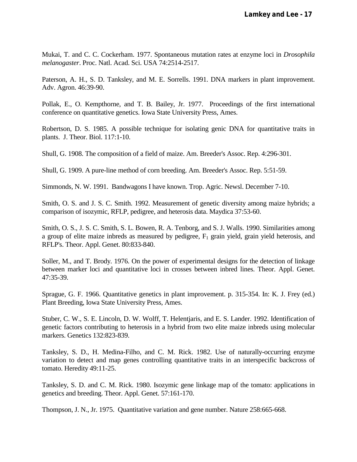Mukai, T. and C. C. Cockerham. 1977. Spontaneous mutation rates at enzyme loci in *Drosophila melanogaster*. Proc. Natl. Acad. Sci. USA 74:2514-2517.

Paterson, A. H., S. D. Tanksley, and M. E. Sorrells. 1991. DNA markers in plant improvement. Adv. Agron. 46:39-90.

Pollak, E., O. Kempthorne, and T. B. Bailey, Jr. 1977. Proceedings of the first international conference on quantitative genetics. Iowa State University Press, Ames.

Robertson, D. S. 1985. A possible technique for isolating genic DNA for quantitative traits in plants. J. Theor. Biol. 117:1-10.

Shull, G. 1908. The composition of a field of maize. Am. Breeder's Assoc. Rep. 4:296-301.

Shull, G. 1909. A pure-line method of corn breeding. Am. Breeder's Assoc. Rep. 5:51-59.

Simmonds, N. W. 1991. Bandwagons I have known. Trop. Agric. Newsl. December 7-10.

Smith, O. S. and J. S. C. Smith. 1992. Measurement of genetic diversity among maize hybrids; a comparison of isozymic, RFLP, pedigree, and heterosis data. Maydica 37:53-60.

Smith, O. S., J. S. C. Smith, S. L. Bowen, R. A. Tenborg, and S. J. Walls. 1990. Similarities among a group of elite maize inbreds as measured by pedigree,  $F_1$  grain yield, grain yield heterosis, and RFLP's. Theor. Appl. Genet. 80:833-840.

Soller, M., and T. Brody. 1976. On the power of experimental designs for the detection of linkage between marker loci and quantitative loci in crosses between inbred lines. Theor. Appl. Genet. 47:35-39.

Sprague, G. F. 1966. Quantitative genetics in plant improvement. p. 315-354. In: K. J. Frey (ed.) Plant Breeding, Iowa State University Press, Ames.

Stuber, C. W., S. E. Lincoln, D. W. Wolff, T. Helentjaris, and E. S. Lander. 1992. Identification of genetic factors contributing to heterosis in a hybrid from two elite maize inbreds using molecular markers. Genetics 132:823-839.

Tanksley, S. D., H. Medina-Filho, and C. M. Rick. 1982. Use of naturally-occurring enzyme variation to detect and map genes controlling quantitative traits in an interspecific backcross of tomato. Heredity 49:11-25.

Tanksley, S. D. and C. M. Rick. 1980. Isozymic gene linkage map of the tomato: applications in genetics and breeding. Theor. Appl. Genet. 57:161-170.

Thompson, J. N., Jr. 1975. Quantitative variation and gene number. Nature 258:665-668.